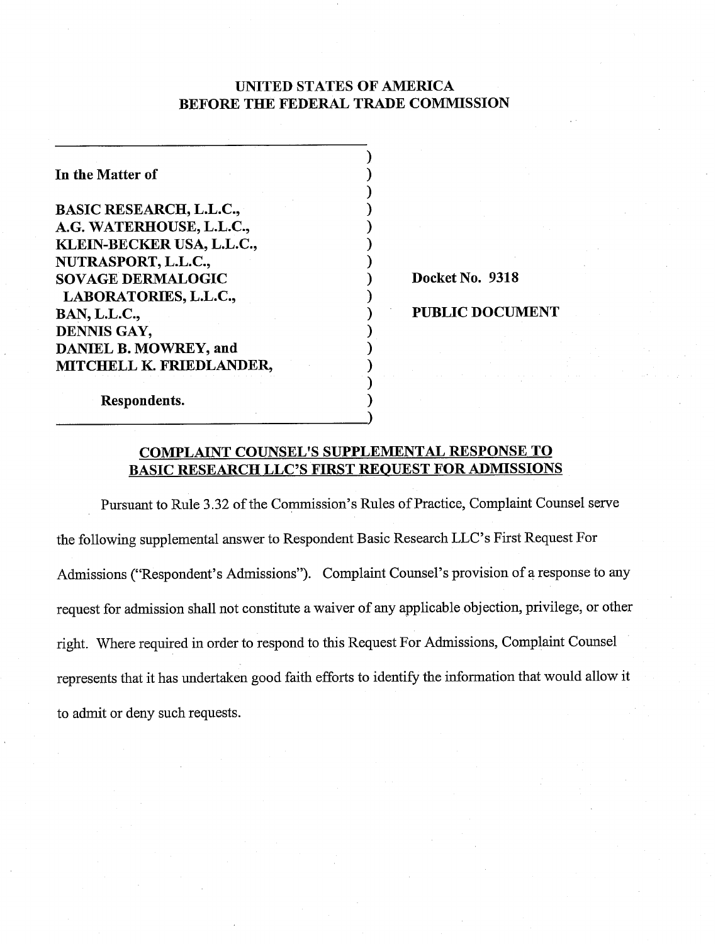# UNITED STATES OF AMERICA BEFORE THE FEDERAL TRADE COMMISSION

 $\mathbf{I}_{\text{in}}$  $\mathbf{I}$  $\mathbf{I}$  $\mathbf{I}_{\text{in}}$  $\mathbf{I}$ **1**   $\mathbf{I}$ 

 $\mathbf{I}$ 

 $\mathbf{I}_{\mathrm{in}}$ **1**   $\mathbf{L}$  $\mathbf{I}$  $\mathbf{I}$ 

In the Matter of BASIC RESEARCH, L.L.C., A.G. WATERHOUSE, L.L.C., KLEIN-BECKER USA, L.L.C., NUTRASPORT, L.L.C., SOVAGE DERMALOGIC LABORATORIES, L.L.C., BAN, L.L.C., DENNIS GAY, DANIEL B. MOWREY, and MITCHELL K. FRIEDLANDER,

Docket No. 9318

PUBLIC DOCUMENT

# Respondents.

## COMPLAINT COUNSEL'S SUPPLEMENTAL RESPONSE TO BASIC RESEARCH LLC'S FIRST REQUEST FOR ADMISSIONS

Pursuant to Rule 3.32 of the Commission's Rules of Practice, Complaint Counsel serve the following supplemental answer to Respondent Basic Research LLC's First Request For Admissions ("Respondent's Admissions"). Complaint Counsel's provision of a response to any request for admission shall not constitute a waiver of any applicable objection, privilege, or other right. Where required in order to respond to ths Request For Admissions, Complaint Counsel represents that it has undertaken good faith efforts to identify the mformation that would allow it to admit or deny such requests.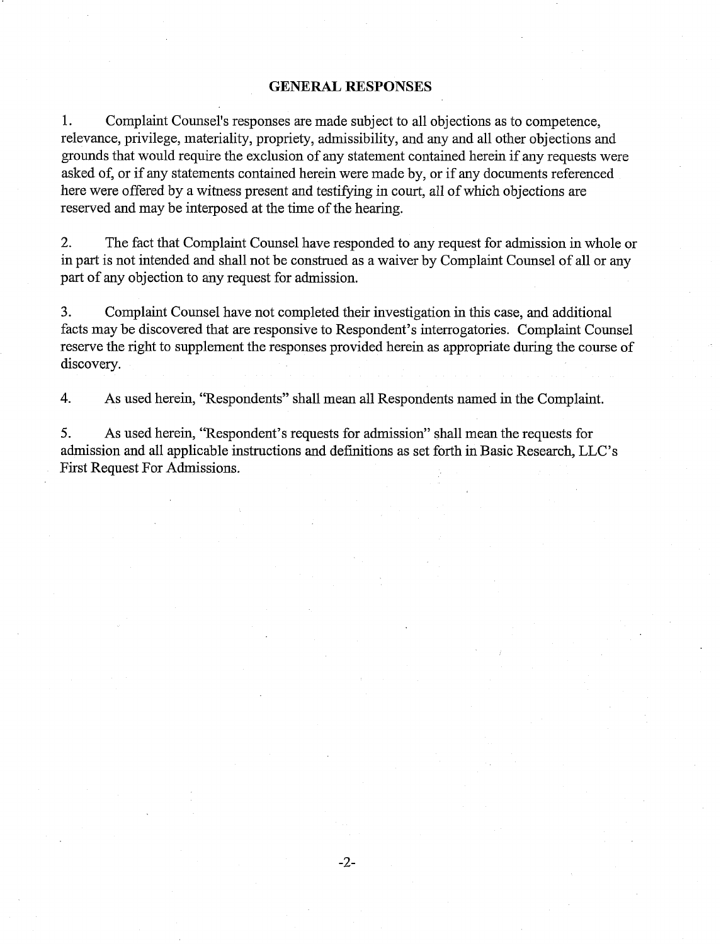### **GENERAL RESPONSES**

1. Complaint Counsel's responses are made subject to all objections as to competence, relevance, privilege, materiality, propriety, admissibility, and any and all other objections and grounds that would require the exclusion of any statement contained herein if any requests were asked of, or if any statements contained herein were made by, or if any documents referenced here were offered by a witness present and testifying in court, all of which objections are reserved and may be interposed at the time of the hearing.

2. The fact that Complaint Counsel have responded to any request for admission in whole or in part is not intended and shall not be construed as a waiver by Complaint Counsel of all or any part of any objection to any request for admission.

**3.** Complaint Counsel have not completed their investigation in this case, and additional facts may be discovered that are responsive to Respondent's interrogatories. Complaint Counsel reserve the right to supplement the responses provided herein as appropriate during the course of discovery.

4. As used herein, "Respondents" shall mean all Respondents named in the Complaint.

*5.* As used herein, "Respondent's requests for adrmssion" shall mean the requests for admission and all applicable instructions and defimtions as set forth in Basic Research, LLC's First Request For Admissions.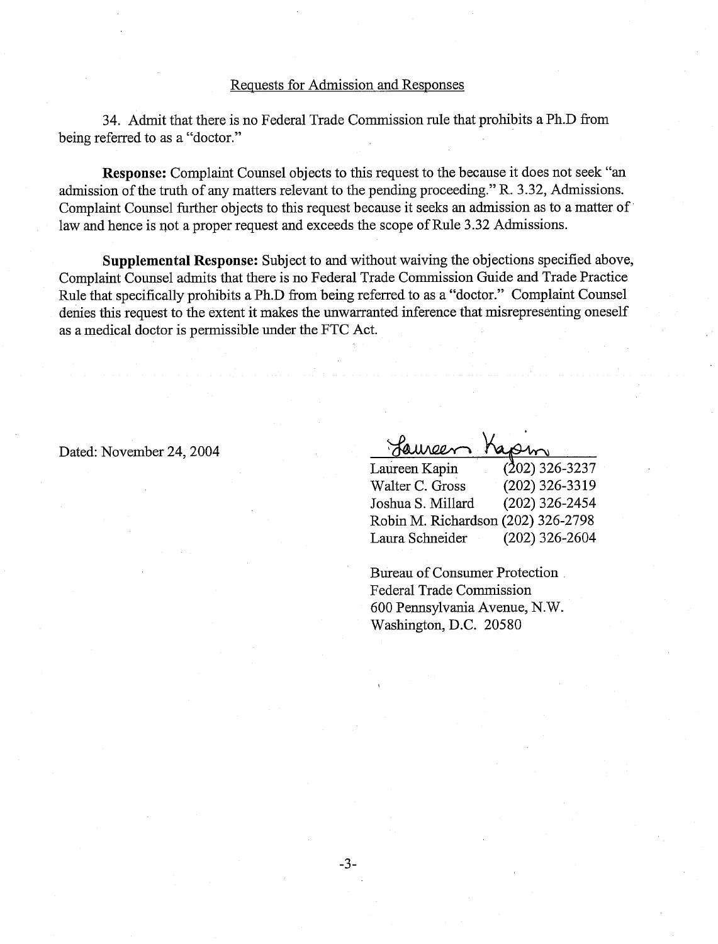# Requests for Admission and Responses

34. Admit that there is no Federal Trade Commission rule that prohbits a Ph.D from being referred to as a "doctor."

**Response:** Complaint Counsel objects to this request to the because it does not seek "an admission of the truth of any matters relevant to the pending proceeding." R. 3.32, Admissions. Complaint Counsel further objects to this request because it seeks an admission as to a matter of law and hence is not a proper request and exceeds the scope of Rule 3.32 Admissions.

**Supplemental Response:** Subject to and without waiving the objections specified above, Complaint Counsel admits that there is no Federal Trade Commission Guide and Trade Practice Rule that specifically prohbits a Ph.D fiom being referred to as a "doctor." Complaint Counsel denies this request to the extent it makes the unwarranted inference that misrepresenting oneself as a medical doctor is permissible under the FTC Act.

Dated: November 24, 2004

Laureen Kapin

| Laureen Kapin                      | $(202)$ 326-3237 |
|------------------------------------|------------------|
| Walter C. Gross                    | $(202)$ 326-3319 |
| Joshua S. Millard                  | $(202)$ 326-2454 |
| Robin M. Richardson (202) 326-2798 |                  |
| Laura Schneider                    | $(202)$ 326-2604 |

Bureau of Consumer Protection Federal Trade Commission 600 Pennsylvania Avenue, N. W Washington, D.C. 20580